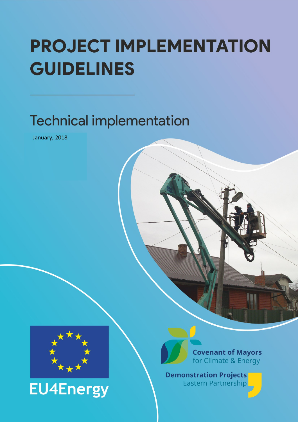# **PROJECT IMPLEMENTATION GUIDELINES**

## **Technical implementation**

January, 2018



**EU4Energy** 



**Demonstration Projects** Eastern Partnership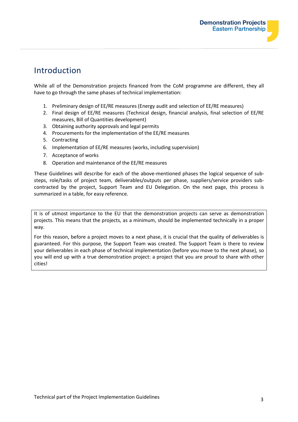## Introduction

While all of the Demonstration projects financed from the CoM programme are different, they all have to go through the same phases of technical implementation:

- 1. Preliminary design of EE/RE measures (Energy audit and selection of EE/RE measures)
- 2. Final design of EE/RE measures (Technical design, financial analysis, final selection of EE/RE measures, Bill of Quantities development)
- 3. Obtaining authority approvals and legal permits
- 4. Procurements for the implementation of the EE/RE measures
- 5. Contracting
- 6. Implementation of EE/RE measures (works, including supervision)
- 7. Acceptance of works
- 8. Operation and maintenance of the EE/RE measures

These Guidelines will describe for each of the above-mentioned phases the logical sequence of substeps, role/tasks of project team, deliverables/outputs per phase, suppliers/service providers subcontracted by the project, Support Team and EU Delegation. On the next page, this process is summarized in a table, for easy reference.

It is of utmost importance to the EU that the demonstration projects can serve as demonstration projects. This means that the projects, as a minimum, should be implemented technically in a proper way.

For this reason, before a project moves to a next phase, it is crucial that the quality of deliverables is guaranteed. For this purpose, the Support Team was created. The Support Team is there to review your deliverables in each phase of technical implementation (before you move to the next phase), so you will end up with a true demonstration project: a project that you are proud to share with other cities!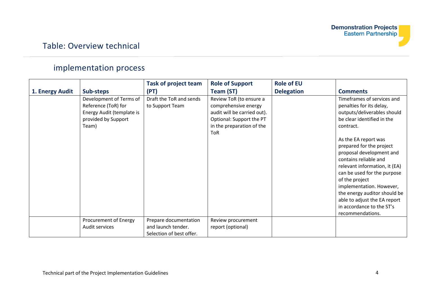## Table: Overview technical

## implementation process

| 1. Energy Audit | Sub-steps                                                                                                   | <b>Task of project team</b><br>(PT)                                     | <b>Role of Support</b><br>Team (ST)                                                                                                                   | <b>Role of EU</b><br><b>Delegation</b> | <b>Comments</b>                                                                                                                                                                                                                                                                                                                                                                                                                                                          |
|-----------------|-------------------------------------------------------------------------------------------------------------|-------------------------------------------------------------------------|-------------------------------------------------------------------------------------------------------------------------------------------------------|----------------------------------------|--------------------------------------------------------------------------------------------------------------------------------------------------------------------------------------------------------------------------------------------------------------------------------------------------------------------------------------------------------------------------------------------------------------------------------------------------------------------------|
|                 | Development of Terms of<br>Reference (ToR) for<br>Energy Audit (template is<br>provided by Support<br>Team) | Draft the ToR and sends<br>to Support Team                              | Review ToR (to ensure a<br>comprehensive energy<br>audit will be carried out).<br>Optional: Support the PT<br>in the preparation of the<br><b>ToR</b> |                                        | Timeframes of services and<br>penalties for its delay,<br>outputs/deliverables should<br>be clear identified in the<br>contract.<br>As the EA report was<br>prepared for the project<br>proposal development and<br>contains reliable and<br>relevant information, it (EA)<br>can be used for the purpose<br>of the project<br>implementation. However,<br>the energy auditor should be<br>able to adjust the EA report<br>in accordance to the ST's<br>recommendations. |
|                 | Procurement of Energy<br>Audit services                                                                     | Prepare documentation<br>and launch tender.<br>Selection of best offer. | Review procurement<br>report (optional)                                                                                                               |                                        |                                                                                                                                                                                                                                                                                                                                                                                                                                                                          |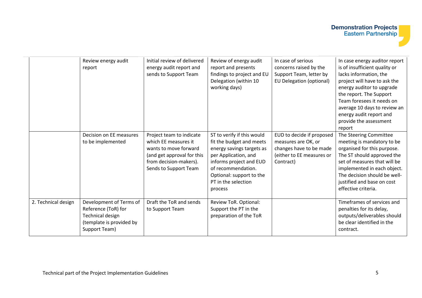|                     | Review energy audit<br>report                                                                                          | Initial review of delivered<br>energy audit report and<br>sends to Support Team                                                                            | Review of energy audit<br>report and presents<br>findings to project and EU<br>Delegation (within 10<br>working days)                                                                                                      | In case of serious<br>concerns raised by the<br>Support Team, letter by<br>EU Delegation (optional)                   | In case energy auditor report<br>is of insufficient quality or<br>lacks information, the<br>project will have to ask the<br>energy auditor to upgrade<br>the report. The Support<br>Team foresees it needs on<br>average 10 days to review an<br>energy audit report and<br>provide the assessment<br>report |
|---------------------|------------------------------------------------------------------------------------------------------------------------|------------------------------------------------------------------------------------------------------------------------------------------------------------|----------------------------------------------------------------------------------------------------------------------------------------------------------------------------------------------------------------------------|-----------------------------------------------------------------------------------------------------------------------|--------------------------------------------------------------------------------------------------------------------------------------------------------------------------------------------------------------------------------------------------------------------------------------------------------------|
|                     | Decision on EE measures<br>to be implemented                                                                           | Project team to indicate<br>which EE measures it<br>wants to move forward<br>(and get approval for this<br>from decision-makers).<br>Sends to Support Team | ST to verify if this would<br>fit the budget and meets<br>energy savings targets as<br>per Application, and<br>informs project and EUD<br>of recommendation.<br>Optional: support to the<br>PT in the selection<br>process | EUD to decide if proposed<br>measures are OK, or<br>changes have to be made<br>(either to EE measures or<br>Contract) | The Steering Committee<br>meeting is mandatory to be<br>organised for this purpose.<br>The ST should approved the<br>set of measures that will be<br>implemented in each object.<br>The decision should be well-<br>justified and base on cost<br>effective criteria.                                        |
| 2. Technical design | Development of Terms of<br>Reference (ToR) for<br><b>Technical design</b><br>(template is provided by<br>Support Team) | Draft the ToR and sends<br>to Support Team                                                                                                                 | Review ToR. Optional:<br>Support the PT in the<br>preparation of the ToR                                                                                                                                                   |                                                                                                                       | Timeframes of services and<br>penalties for its delay,<br>outputs/deliverables should<br>be clear identified in the<br>contract.                                                                                                                                                                             |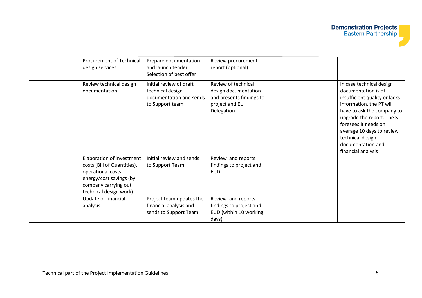| <b>Procurement of Technical</b><br>design services                                                                                                          | Prepare documentation<br>and launch tender.<br>Selection of best offer                    | Review procurement<br>report (optional)                                                                 |                                                                                                                                                                                                                                                                                              |
|-------------------------------------------------------------------------------------------------------------------------------------------------------------|-------------------------------------------------------------------------------------------|---------------------------------------------------------------------------------------------------------|----------------------------------------------------------------------------------------------------------------------------------------------------------------------------------------------------------------------------------------------------------------------------------------------|
| Review technical design<br>documentation                                                                                                                    | Initial review of draft<br>technical design<br>documentation and sends<br>to Support team | Review of technical<br>design documentation<br>and presents findings to<br>project and EU<br>Delegation | In case technical design<br>documentation is of<br>insufficient quality or lacks<br>information, the PT will<br>have to ask the company to<br>upgrade the report. The ST<br>foresees it needs on<br>average 10 days to review<br>technical design<br>documentation and<br>financial analysis |
| Elaboration of investment<br>costs (Bill of Quantities),<br>operational costs,<br>energy/cost savings (by<br>company carrying out<br>technical design work) | Initial review and sends<br>to Support Team                                               | Review and reports<br>findings to project and<br><b>EUD</b>                                             |                                                                                                                                                                                                                                                                                              |
| Update of financial<br>analysis                                                                                                                             | Project team updates the<br>financial analysis and<br>sends to Support Team               | Review and reports<br>findings to project and<br>EUD (within 10 working<br>days)                        |                                                                                                                                                                                                                                                                                              |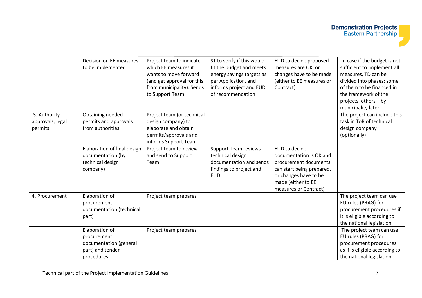|                                             | Decision on EE measures<br>to be implemented                                              | Project team to indicate<br>which EE measures it<br>wants to move forward<br>(and get approval for this<br>from municipality). Sends<br>to Support Team | ST to verify if this would<br>fit the budget and meets<br>energy savings targets as<br>per Application, and<br>informs project and EUD<br>of recommendation | EUD to decide proposed<br>measures are OK, or<br>changes have to be made<br>(either to EE measures or<br>Contract)                                                     | In case if the budget is not<br>sufficient to implement all<br>measures, TD can be<br>divided into phases: some<br>of them to be financed in<br>the framework of the<br>projects, others - by<br>municipality later |
|---------------------------------------------|-------------------------------------------------------------------------------------------|---------------------------------------------------------------------------------------------------------------------------------------------------------|-------------------------------------------------------------------------------------------------------------------------------------------------------------|------------------------------------------------------------------------------------------------------------------------------------------------------------------------|---------------------------------------------------------------------------------------------------------------------------------------------------------------------------------------------------------------------|
| 3. Authority<br>approvals, legal<br>permits | Obtaining needed<br>permits and approvals<br>from authorities                             | Project team (or technical<br>design company) to<br>elaborate and obtain<br>permits/approvals and<br>informs Support Team                               |                                                                                                                                                             |                                                                                                                                                                        | The project can include this<br>task in ToR of technical<br>design company<br>(optionally)                                                                                                                          |
|                                             | Elaboration of final design<br>documentation (by<br>technical design<br>company)          | Project team to review<br>and send to Support<br>Team                                                                                                   | <b>Support Team reviews</b><br>technical design<br>documentation and sends<br>findings to project and<br><b>EUD</b>                                         | EUD to decide<br>documentation is OK and<br>procurement documents<br>can start being prepared,<br>or changes have to be<br>made (either to EE<br>measures or Contract) |                                                                                                                                                                                                                     |
| 4. Procurement                              | Elaboration of<br>procurement<br>documentation (technical<br>part)                        | Project team prepares                                                                                                                                   |                                                                                                                                                             |                                                                                                                                                                        | The project team can use<br>EU rules (PRAG) for<br>procurement procedures if<br>it is eligible according to<br>the national legislation                                                                             |
|                                             | Elaboration of<br>procurement<br>documentation (general<br>part) and tender<br>procedures | Project team prepares                                                                                                                                   |                                                                                                                                                             |                                                                                                                                                                        | The project team can use<br>EU rules (PRAG) for<br>procurement procedures<br>as if is eligible according to<br>the national legislation                                                                             |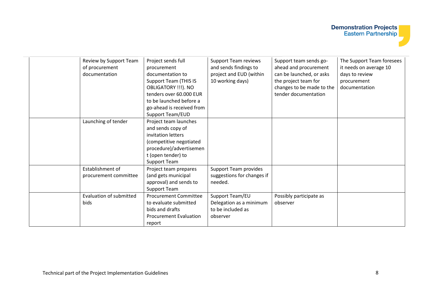| Review by Support Team<br>of procurement<br>documentation | Project sends full<br>procurement<br>documentation to<br><b>Support Team (THIS IS</b><br>OBLIGATORY !!!). NO<br>tenders over 60.000 EUR<br>to be launched before a<br>go-ahead is received from<br>Support Team/EUD | <b>Support Team reviews</b><br>and sends findings to<br>project and EUD (within<br>10 working days) | Support team sends go-<br>ahead and procurement<br>can be launched, or asks<br>the project team for<br>changes to be made to the<br>tender documentation | The Support Team foresees<br>it needs on average 10<br>days to review<br>procurement<br>documentation |
|-----------------------------------------------------------|---------------------------------------------------------------------------------------------------------------------------------------------------------------------------------------------------------------------|-----------------------------------------------------------------------------------------------------|----------------------------------------------------------------------------------------------------------------------------------------------------------|-------------------------------------------------------------------------------------------------------|
| Launching of tender                                       | Project team launches<br>and sends copy of<br>invitation letters<br>(competitive negotiated<br>procedure)/advertisemen<br>t (open tender) to<br><b>Support Team</b>                                                 |                                                                                                     |                                                                                                                                                          |                                                                                                       |
| Establishment of<br>procurement committee                 | Project team prepares<br>(and gets municipal<br>approval) and sends to<br><b>Support Team</b>                                                                                                                       | <b>Support Team provides</b><br>suggestions for changes if<br>needed.                               |                                                                                                                                                          |                                                                                                       |
| Evaluation of submitted<br>bids                           | <b>Procurement Committee</b><br>to evaluate submitted<br>bids and drafts<br><b>Procurement Evaluation</b><br>report                                                                                                 | Support Team/EU<br>Delegation as a minimum<br>to be included as<br>observer                         | Possibly participate as<br>observer                                                                                                                      |                                                                                                       |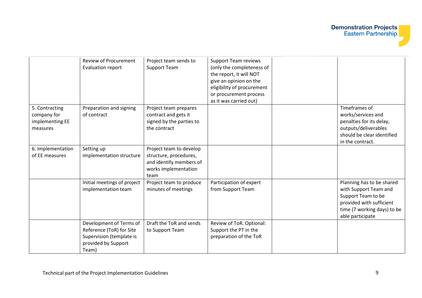|                   | <b>Review of Procurement</b> | Project team sends to    | <b>Support Team reviews</b>                       |                             |
|-------------------|------------------------------|--------------------------|---------------------------------------------------|-----------------------------|
|                   | Evaluation report            | <b>Support Team</b>      | (only the completeness of                         |                             |
|                   |                              |                          | the report, it will NOT                           |                             |
|                   |                              |                          | give an opinion on the                            |                             |
|                   |                              |                          | eligibility of procurement                        |                             |
|                   |                              |                          | or procurement process                            |                             |
|                   |                              |                          | as it was carried out)                            |                             |
| 5. Contracting    | Preparation and signing      | Project team prepares    |                                                   | Timeframes of               |
| company for       | of contract                  | contract and gets it     |                                                   | works/services and          |
| implementing EE   |                              | signed by the parties to |                                                   | penalties for its delay,    |
| measures          |                              | the contract             |                                                   | outputs/deliverables        |
|                   |                              |                          |                                                   | should be clear identified  |
|                   |                              |                          |                                                   | in the contract.            |
| 6. Implementation | Setting up                   | Project team to develop  |                                                   |                             |
| of EE measures    | implementation structure     | structure, procedures,   |                                                   |                             |
|                   |                              | and identify members of  |                                                   |                             |
|                   |                              | works implementation     |                                                   |                             |
|                   |                              | team                     |                                                   |                             |
|                   | Initial meetings of project  | Project team to produce  | Participation of expert                           | Planning has to be shared   |
|                   | implementation team          | minutes of meetings      | from Support Team                                 | with Support Team and       |
|                   |                              |                          |                                                   | Support Team to be          |
|                   |                              |                          |                                                   | provided with sufficient    |
|                   |                              |                          |                                                   | time (7 working days) to be |
|                   | Development of Terms of      | Draft the ToR and sends  |                                                   | able participate            |
|                   | Reference (ToR) for Site     |                          | Review of ToR. Optional:<br>Support the PT in the |                             |
|                   | Supervision (template is     | to Support Team          |                                                   |                             |
|                   | provided by Support          |                          | preparation of the ToR                            |                             |
|                   | Team)                        |                          |                                                   |                             |
|                   |                              |                          |                                                   |                             |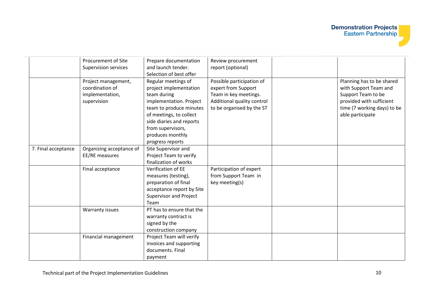|                     | Procurement of Site<br><b>Supervision services</b>                       | Prepare documentation<br>and launch tender.<br>Selection of best offer                                                                                                                                                                 | Review procurement<br>report (optional)                                                                                              |                                                                                                                                                         |
|---------------------|--------------------------------------------------------------------------|----------------------------------------------------------------------------------------------------------------------------------------------------------------------------------------------------------------------------------------|--------------------------------------------------------------------------------------------------------------------------------------|---------------------------------------------------------------------------------------------------------------------------------------------------------|
|                     | Project management,<br>coordination of<br>implementation,<br>supervision | Regular meetings of<br>project implementation<br>team during<br>implementation. Project<br>team to produce minutes<br>of meetings, to collect<br>side diaries and reports<br>from supervisors,<br>produces monthly<br>progress reports | Possible participation of<br>expert from Support<br>Team in key meetings.<br>Additional quality control<br>to be organised by the ST | Planning has to be shared<br>with Support Team and<br>Support Team to be<br>provided with sufficient<br>time (7 working days) to be<br>able participate |
| 7. Final acceptance | Organizing acceptance of<br>EE/RE measures                               | Site Supervisor and<br>Project Team to verify<br>finalization of works                                                                                                                                                                 |                                                                                                                                      |                                                                                                                                                         |
|                     | Final acceptance                                                         | Verification of EE<br>measures (testing),<br>preparation of final<br>acceptance report by Site<br><b>Supervisor and Project</b><br>Team                                                                                                | Participation of expert<br>from Support Team in<br>key meeting(s)                                                                    |                                                                                                                                                         |
|                     | Warranty issues                                                          | PT has to ensure that the<br>warranty contract is<br>signed by the<br>construction company                                                                                                                                             |                                                                                                                                      |                                                                                                                                                         |
|                     | Financial management                                                     | Project Team will verify<br>invoices and supporting<br>documents. Final<br>payment                                                                                                                                                     |                                                                                                                                      |                                                                                                                                                         |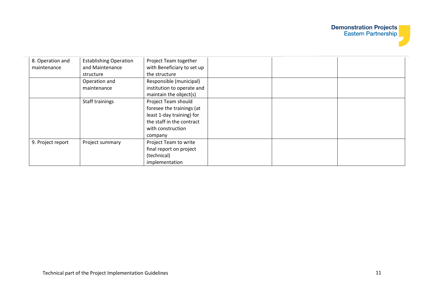## **Demonstration Projects**<br>**Eastern Partnership**

| 8. Operation and  | <b>Establishing Operation</b> | Project Team together      |  |  |
|-------------------|-------------------------------|----------------------------|--|--|
| maintenance       | and Maintenance               | with Beneficiary to set up |  |  |
|                   | structure                     | the structure              |  |  |
|                   | Operation and                 | Responsible (municipal)    |  |  |
|                   | maintenance                   | institution to operate and |  |  |
|                   |                               | maintain the object(s)     |  |  |
|                   | Staff trainings               | Project Team should        |  |  |
|                   |                               | foresee the trainings (at  |  |  |
|                   |                               | least 1-day training) for  |  |  |
|                   |                               | the staff in the contract  |  |  |
|                   |                               | with construction          |  |  |
|                   |                               | company                    |  |  |
| 9. Project report | Project summary               | Project Team to write      |  |  |
|                   |                               | final report on project    |  |  |
|                   |                               | (technical)                |  |  |
|                   |                               | implementation             |  |  |

 $\overline{\phantom{a}}$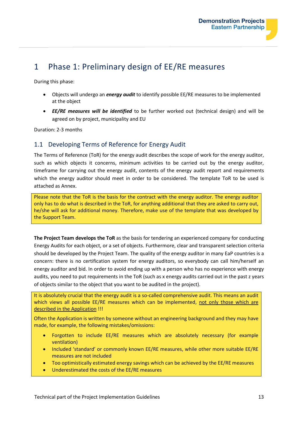## 1 Phase 1: Preliminary design of EE/RE measures

During this phase:

- Objects will undergo an *energy audit* to identify possible EE/RE measures to be implemented at the object
- *EE/RE measures will be identified* to be further worked out (technical design) and will be agreed on by project, municipality and EU

Duration: 2-3 months

#### 1.1 Developing Terms of Reference for Energy Audit

The Terms of Reference (ToR) for the energy audit describes the scope of work for the energy auditor, such as which objects it concerns, minimum activities to be carried out by the energy auditor, timeframe for carrying out the energy audit, contents of the energy audit report and requirements which the energy auditor should meet in order to be considered. The template ToR to be used is attached as Annex.

Please note that the ToR is the basis for the contract with the energy auditor. The energy auditor only has to do what is described in the ToR, for anything additional that they are asked to carry out, he/she will ask for additional money. Therefore, make use of the template that was developed by the Support Team.

**The Project Team develops the ToR** as the basis for tendering an experienced company for conducting Energy Audits for each object, or a set of objects. Furthermore, clear and transparent selection criteria should be developed by the Project Team. The quality of the energy auditor in many EaP countries is a concern: there is no certification system for energy auditors, so everybody can call him/herself an energy auditor and bid. In order to avoid ending up with a person who has no experience with energy audits, you need to put requirements in the ToR (such as x energy audits carried out in the past z years of objects similar to the object that you want to be audited in the project).

It is absolutely crucial that the energy audit is a so-called comprehensive audit. This means an audit which views all possible EE/RE measures which can be implemented, not only those which are described in the Application !!!

Often the Application is written by someone without an engineering background and they may have made, for example, the following mistakes/omissions:

- Forgotten to include EE/RE measures which are absolutely necessary (for example ventilation)
- Included 'standard' or commonly known EE/RE measures, while other more suitable EE/RE measures are not included
- Too optimistically estimated energy savings which can be achieved by the EE/RE measures
- Underestimated the costs of the EE/RE measures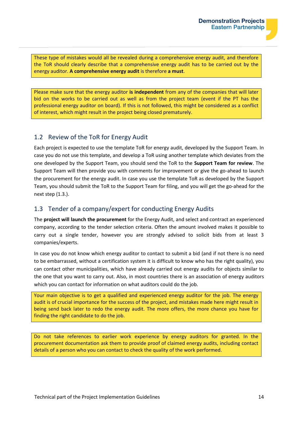These type of mistakes would all be revealed during a comprehensive energy audit, and therefore the ToR should clearly describe that a comprehensive energy audit has to be carried out by the energy auditor. **A comprehensive energy audit** is therefore **a must**.

Please make sure that the energy auditor **is independent** from any of the companies that will later bid on the works to be carried out as well as from the project team (event if the PT has the professional energy auditor on board). If this is not followed, this might be considered as a conflict of interest, which might result in the project being closed prematurely.

#### 1.2 Review of the ToR for Energy Audit

Each project is expected to use the template ToR for energy audit, developed by the Support Team. In case you do not use this template, and develop a ToR using another template which deviates from the one developed by the Support Team, you should send the ToR to the **Support Team for review**. The Support Team will then provide you with comments for improvement or give the go-ahead to launch the procurement for the energy audit. In case you use the template ToR as developed by the Support Team, you should submit the ToR to the Support Team for filing, and you will get the go-ahead for the next step (1.3.).

#### 1.3 Tender of a company/expert for conducting Energy Audits

The **project will launch the procurement** for the Energy Audit, and select and contract an experienced company, according to the tender selection criteria. Often the amount involved makes it possible to carry out a single tender, however you are strongly advised to solicit bids from at least 3 companies/experts.

In case you do not know which energy auditor to contact to submit a bid (and if not there is no need to be embarrassed, without a certification system it is difficult to know who has the right quality), you can contact other municipalities, which have already carried out energy audits for objects similar to the one that you want to carry out. Also, in most countries there is an association of energy auditors which you can contact for information on what auditors could do the job.

Your main objective is to get a qualified and experienced energy auditor for the job. The energy audit is of crucial importance for the success of the project, and mistakes made here might result in being send back later to redo the energy audit. The more offers, the more chance you have for finding the right candidate to do the job.

Do not take references to earlier work experience by energy auditors for granted. In the procurement documentation ask them to provide proof of claimed energy audits, including contact details of a person who you can contact to check the quality of the work performed.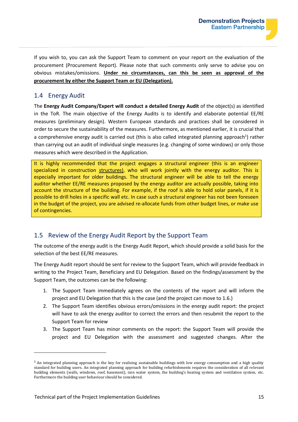

If you wish to, you can ask the Support Team to comment on your report on the evaluation of the procurement (Procurement Report). Please note that such comments only serve to advise you on obvious mistakes/omissions. **Under no circumstances, can this be seen as approval of the procurement by either the Support Team or EU (Delegation).**

#### 1.4 Energy Audit

The **Energy Audit Company/Expert will conduct a detailed Energy Audit** of the object(s) as identified in the ToR. The main objective of the Energy Audits is to identify and elaborate potential EE/RE measures (preliminary design). Western European standards and practices shall be considered in order to secure the sustainability of the measures. Furthermore, as mentioned earlier, it is crucial that a comprehensive energy audit is carried out (this is also called integrated planning approach<sup>1</sup>) rather than carrying out an audit of individual single measures (e.g. changing of some windows) or only those measures which were described in the Application.

It is highly recommended that the project engages a structural engineer (this is an engineer specialized in construction structures), who will work jointly with the energy auditor. This is especially important for older buildings. The structural engineer will be able to tell the energy auditor whether EE/RE measures proposed by the energy auditor are actually possible, taking into account the structure of the building. For example, if the roof is able to hold solar panels, if it is possible to drill holes in a specific wall etc. In case such a structural engineer has not been foreseen in the budget of the project, you are advised re-allocate funds from other budget lines, or make use of contingencies.

### 1.5 Review of the Energy Audit Report by the Support Team

The outcome of the energy audit is the Energy Audit Report, which should provide a solid basis for the selection of the best EE/RE measures.

The Energy Audit report should be sent for review to the Support Team, which will provide feedback in writing to the Project Team, Beneficiary and EU Delegation. Based on the findings/assessment by the Support Team, the outcomes can be the following:

- 1. The Support Team immediately agrees on the contents of the report and will inform the project and EU Delegation that this is the case (and the project can move to 1.6.)
- 2. The Support Team identifies obvious errors/omissions in the energy audit report: the project will have to ask the energy auditor to correct the errors and then resubmit the report to the Support Team for review
- 3. The Support Team has minor comments on the report: the Support Team will provide the project and EU Delegation with the assessment and suggested changes. After the

 $<sup>1</sup>$  An integrated planning approach is the key for realising sustainable buildings with low energy consumption and a high quality</sup> standard for building users. An integrated planning approach for building refurbishments requires the consideration of all relevant building elements (walls, windows, roof, basement), rain water system, the building's heating system and ventilation system, etc. Furthermore the building user behaviour should be considered.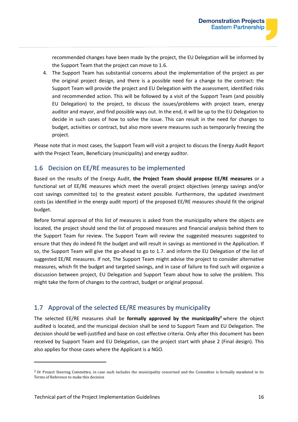recommended changes have been made by the project, the EU Delegation will be informed by the Support Team that the project can move to 1.6.

4. The Support Team has substantial concerns about the implementation of the project as per the original project design, and there is a possible need for a change to the contract: the Support Team will provide the project and EU Delegation with the assessment, identified risks and recommended action. This will be followed by a visit of the Support Team (and possibly EU Delegation) to the project, to discuss the issues/problems with project team, energy auditor and mayor, and find possible ways out. In the end, it will be up to the EU Delegation to decide in such cases of how to solve the issue. This can result in the need for changes to budget, activities or contract, but also more severe measures such as temporarily freezing the project.

Please note that in most cases, the Support Team will visit a project to discuss the Energy Audit Report with the Project Team, Beneficiary (municipality) and energy auditor.

#### 1.6 Decision on EE/RE measures to be implemented

Based on the results of the Energy Audit, **the Project Team should propose EE/RE measures** or a functional set of EE/RE measures which meet the overall project objectives (energy savings and/or cost savings committed to) to the greatest extent possible. Furthermore, the updated investment costs (as identified in the energy audit report) of the proposed EE/RE measures should fit the original budget.

Before formal approval of this list of measures is asked from the municipality where the objects are located, the project should send the list of proposed measures and financial analysis behind them to the Support Team for review. The Support Team will review the suggested measures suggested to ensure that they do indeed fit the budget and will result in savings as mentioned in the Application. If so, the Support Team will give the go-ahead to go to 1.7. and inform the EU Delegation of the list of suggested EE/RE measures. If not, The Support Team might advise the project to consider alternative measures, which fit the budget and targeted savings, and in case of failure to find such will organize a discussion between project, EU Delegation and Support Team about how to solve the problem. This might take the form of changes to the contract, budget or original proposal.

#### 1.7 Approval of the selected EE/RE measures by municipality

The selected EE/RE measures shall be **formally approved by the municipality<sup>2</sup>** where the object audited is located, and the municipal decision shall be send to Support Team and EU Delegation. The decision should be well-justified and base on cost effective criteria. Only after this document has been received by Support Team and EU Delegation, can the project start with phase 2 (Final design). This also applies for those cases where the Applicant is a NGO.

<sup>&</sup>lt;sup>2</sup> Or Project Steering Committee, in case such includes the municipality concerned and the Committee is formally mandated in its Terms of Reference to make this decision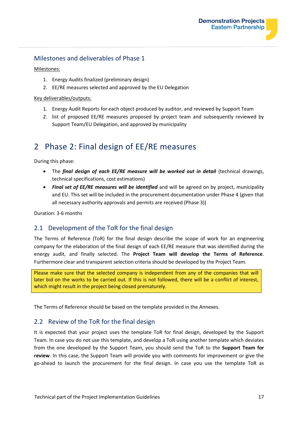#### Milestones and deliverables of Phase 1

Milestones:

- 1. Energy Audits finalized (preliminary design)
- 2. EE/RE measures selected and approved by the EU Delegation

Key deliverables/outputs:

- 1. Energy Audit Reports for each object produced by auditor, and reviewed by Support Team
- 2. list of proposed EE/RE measures proposed by project team and subsequently reviewed by Support Team/EU Delegation, and approved by municipality

## 2 Phase 2: Final design of EE/RE measures

During this phase:

- The *final design of each EE/RE measure will be worked out in detail* (technical drawings, technical specifications, cost estimations)
- *Final set of EE/RE measures will be identified* and will be agreed on by project, municipality and EU. This set will be included in the procurement documentation under Phase 4 (given that all necessary authority approvals and permits are received (Phase 3))

Duration: 3-6 months

#### 2.1 Development of the ToR for the final design

The Terms of Reference (ToR) for the final design describe the scope of work for an engineering company for the elaboration of the final design of each EE/RE measure that was identified during the energy audit, and finally selected. The **Project Team will develop the Terms of Reference**. Furthermore clear and transparent selection criteria should be developed by the Project Team.

Please make sure that the selected company is independent from any of the companies that will later bid on the works to be carried out. If this is not followed, there will be a conflict of interest, which might result in the project being closed prematurely.

The Terms of Reference should be based on the template provided in the Annexes.

#### 2.2 Review of the ToR for the final design

It is expected that your project uses the template ToR for final design, developed by the Support Team. In case you do not use this template, and develop a ToR using another template which deviates from the one developed by the Support Team, you should send the ToR to the **Support Team for review**. In this case, the Support Team will provide you with comments for improvement or give the go-ahead to launch the procurement for the final design. In case you use the template ToR as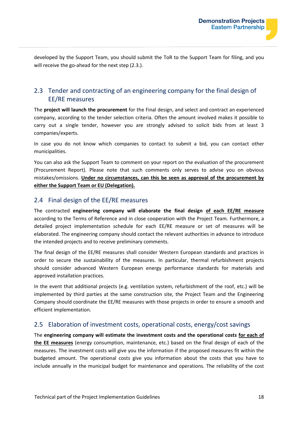developed by the Support Team, you should submit the ToR to the Support Team for filing, and you will receive the go-ahead for the next step (2.3.).

#### 2.3 Tender and contracting of an engineering company for the final design of EE/RE measures

The **project will launch the procurement** for the Final design, and select and contract an experienced company, according to the tender selection criteria. Often the amount involved makes it possible to carry out a single tender, however you are strongly advised to solicit bids from at least 3 companies/experts.

In case you do not know which companies to contact to submit a bid, you can contact other municipalities.

You can also ask the Support Team to comment on your report on the evaluation of the procurement (Procurement Report). Please note that such comments only serves to advise you on obvious mistakes/omissions. **Under no circumstances, can this be seen as approval of the procurement by either the Support Team or EU (Delegation).**

#### 2.4 Final design of the EE/RE measures

The contracted **engineering company will elaborate the final design of each EE/RE measure** according to the Terms of Reference and in close cooperation with the Project Team. Furthermore, a detailed project implementation schedule for each EE/RE measure or set of measures will be elaborated. The engineering company should contact the relevant authorities in advance to introduce the intended projects and to receive preliminary comments.

The final design of the EE/RE measures shall consider Western European standards and practices in order to secure the sustainability of the measures. In particular, thermal refurbishment projects should consider advanced Western European energy performance standards for materials and approved installation practices.

In the event that additional projects (e.g. ventilation system, refurbishment of the roof, etc.) will be implemented by third parties at the same construction site, the Project Team and the Engineering Company should coordinate the EE/RE measures with those projects in order to ensure a smooth and efficient implementation.

#### 2.5 Elaboration of investment costs, operational costs, energy/cost savings

The **engineering company will estimate the investment costs and the operational costs for each of the EE measures** (energy consumption, maintenance, etc.) based on the final design of each of the measures. The investment costs will give you the information if the proposed measures fit within the budgeted amount. The operational costs give you information about the costs that you have to include annually in the municipal budget for maintenance and operations. The reliability of the cost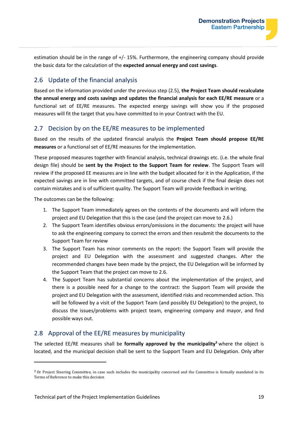estimation should be in the range of +/- 15%. Furthermore, the engineering company should provide the basic data for the calculation of the **expected annual energy and cost savings**.

#### 2.6 Update of the financial analysis

Based on the information provided under the previous step (2.5), **the Project Team should recalculate the annual energy and costs savings and updates the financial analysis for each EE/RE measure** or a functional set of EE/RE measures. The expected energy savings will show you if the proposed measures will fit the target that you have committed to in your Contract with the EU.

#### 2.7 Decision by on the EE/RE measures to be implemented

Based on the results of the updated financial analysis the **Project Team should propose EE/RE measures** or a functional set of EE/RE measures for the implementation.

These proposed measures together with financial analysis, technical drawings etc. (i.e. the whole final design file) should be **sent by the Project to the Support Team for review**. The Support Team will review if the proposed EE measures are in line with the budget allocated for it in the Application, if the expected savings are in line with committed targets, and of course check if the final design does not contain mistakes and is of sufficient quality. The Support Team will provide feedback in writing.

The outcomes can be the following:

- 1. The Support Team immediately agrees on the contents of the documents and will inform the project and EU Delegation that this is the case (and the project can move to 2.6.)
- 2. The Support Team identifies obvious errors/omissions in the documents: the project will have to ask the engineering company to correct the errors and then resubmit the documents to the Support Team for review
- 3. The Support Team has minor comments on the report: the Support Team will provide the project and EU Delegation with the assessment and suggested changes. After the recommended changes have been made by the project, the EU Delegation will be informed by the Support Team that the project can move to 2.6.
- 4. The Support Team has substantial concerns about the implementation of the project, and there is a possible need for a change to the contract: the Support Team will provide the project and EU Delegation with the assessment, identified risks and recommended action. This will be followed by a visit of the Support Team (and possibly EU Delegation) to the project, to discuss the issues/problems with project team, engineering company and mayor, and find possible ways out.

#### 2.8 Approval of the EE/RE measures by municipality

The selected EE/RE measures shall be **formally approved by the municipality<sup>3</sup>** where the object is located, and the municipal decision shall be sent to the Support Team and EU Delegation. Only after

<sup>3</sup> Or Project Steering Committee, in case such includes the municipality concerned and the Committee is formally mandated in its Terms of Reference to make this decision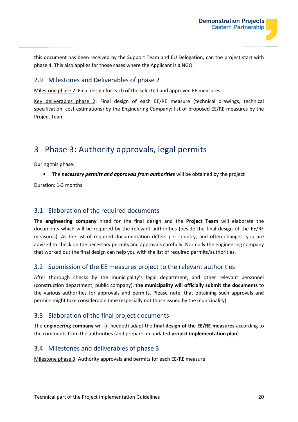this document has been received by the Support Team and EU Delegation, can the project start with phase 4. This also applies for those cases where the Applicant is a NGO.

#### 2.9 Milestones and Deliverables of phase 2

Milestone phase 2: Final design for each of the selected and approved EE measures

Key deliverables phase 2: Final design of each EE/RE measure (technical drawings, technical specification, cost estimations) by the Engineering Company; list of proposed EE/RE measures by the Project Team

## 3 Phase 3: Authority approvals, legal permits

During this phase:

• The *necessary permits and approvals from authorities* will be obtained by the project

Duration: 1-3 months

#### 3.1 Elaboration of the required documents

The **engineering company** hired for the final design and the **Project Team** will elaborate the documents which will be required by the relevant authorities (beside the final design of the EE/RE measures). As the list of required documentation differs per country, and often changes, you are advised to check on the necessary permits and approvals carefully. Normally the engineering company that worked out the final design can help you with the list of required permits/authorities.

#### 3.2 Submission of the EE measures project to the relevant authorities

After thorough checks by the municipality's legal department, and other relevant personnel (construction department, public company), **the municipality will officially submit the documents** to the various authorities for approvals and permits. Please note, that obtaining such approvals and permits might take considerable time (especially not those issued by the municipality).

#### 3.3 Elaboration of the final project documents

The **engineering company** will (if needed) adapt the **final design of the EE/RE measures** according to the comments from the authorities (and prepare an updated **project implementation plan**).

#### 3.4 Milestones and deliverables of phase 3

Milestone phase 3: Authority approvals and permits for each EE/RE measure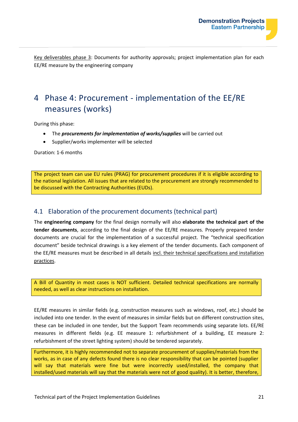Key deliverables phase 3: Documents for authority approvals; project implementation plan for each EE/RE measure by the engineering company

## 4 Phase 4: Procurement - implementation of the EE/RE measures (works)

During this phase:

- The *procurements for implementation of works/supplies* will be carried out
- Supplier/works implementer will be selected

Duration: 1-6 months

The project team can use EU rules (PRAG) for procurement procedures if it is eligible according to the national legislation. All issues that are related to the procurement are strongly recommended to be discussed with the Contracting Authorities (EUDs).

#### 4.1 Elaboration of the procurement documents (technical part)

The **engineering company** for the final design normally will also **elaborate the technical part of the tender documents**, according to the final design of the EE/RE measures. Properly prepared tender documents are crucial for the implementation of a successful project. The "technical specification document" beside technical drawings is a key element of the tender documents. Each component of the EE/RE measures must be described in all details incl. their technical specifications and installation practices.

A Bill of Quantity in most cases is NOT sufficient. Detailed technical specifications are normally needed, as well as clear instructions on installation.

EE/RE measures in similar fields (e.g. construction measures such as windows, roof, etc.) should be included into one tender. In the event of measures in similar fields but on different construction sites, these can be included in one tender, but the Support Team recommends using separate lots. EE/RE measures in different fields (e.g. EE measure 1: refurbishment of a building, EE measure 2: refurbishment of the street lighting system) should be tendered separately.

Furthermore, it is highly recommended not to separate procurement of supplies/materials from the works, as in case of any defects found there is no clear responsibility that can be pointed (supplier will say that materials were fine but were incorrectly used/installed, the company that installed/used materials will say that the materials were not of good quality). It is better, therefore,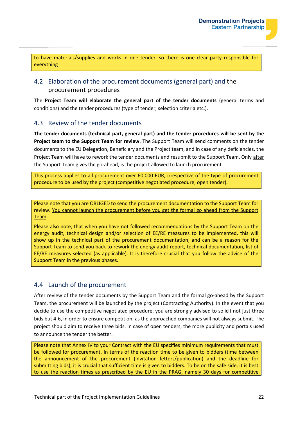to have materials/supplies and works in one tender, so there is one clear party responsible for everything

#### 4.2 Elaboration of the procurement documents (general part) and the procurement procedures

The **Project Team will elaborate the general part of the tender documents** (general terms and conditions) and the tender procedures (type of tender, selection criteria etc.).

#### 4.3 Review of the tender documents

**The tender documents (technical part, general part) and the tender procedures will be sent by the Project team to the Support Team for review**. The Support Team will send comments on the tender documents to the EU Delegation, Beneficiary and the Project team, and in case of any deficiencies, the Project Team will have to rework the tender documents and resubmit to the Support Team. Only after the Support Team gives the go-ahead, is the project allowed to launch procurement.

This process applies to all procurement over 60,000 EUR, irrespective of the type of procurement procedure to be used by the project (competitive negotiated procedure, open tender).

Please note that you are OBLIGED to send the procurement documentation to the Support Team for review. You cannot launch the procurement before you get the formal go ahead from the Support Team.

Please also note, that when you have not followed recommendations by the Support Team on the energy audit, technical design and/or selection of EE/RE measures to be implemented, this will show up in the technical part of the procurement documentation, and can be a reason for the Support Team to send you back to rework the energy audit report, technical documentation, list of EE/RE measures selected (as applicable). It is therefore crucial that you follow the advice of the Support Team in the previous phases.

#### 4.4 Launch of the procurement

After review of the tender documents by the Support Team and the formal go-ahead by the Support Team, the procurement will be launched by the project (Contracting Authority). In the event that you decide to use the competitive negotiated procedure, you are strongly advised to solicit not just three bids but 4-6, in order to ensure competition, as the approached companies will not always submit. The project should aim to receive three bids. In case of open tenders, the more publicity and portals used to announce the tender the better.

Please note that Annex IV to your Contract with the EU specifies minimum requirements that must be followed for procurement. In terms of the reaction time to be given to bidders (time between the announcement of the procurement (invitation letters/publication) and the deadline for submitting bids), it is crucial that sufficient time is given to bidders. To be on the safe side, it is best to use the reaction times as prescribed by the EU in the PRAG, namely 30 days for competitive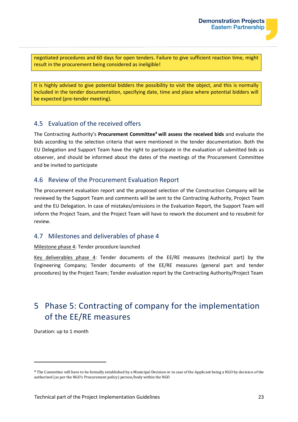

negotiated procedures and 60 days for open tenders. Failure to give sufficient reaction time, might result in the procurement being considered as ineligible!

It is highly advised to give potential bidders the possibility to visit the object, and this is normally included in the tender documentation, specifying date, time and place where potential bidders will be expected (pre-tender meeting).

#### 4.5 Evaluation of the received offers

The Contracting Authority's **Procurement Committee<sup>4</sup> will assess the received bids** and evaluate the bids according to the selection criteria that were mentioned in the tender documentation. Both the EU Delegation and Support Team have the right to participate in the evaluation of submitted bids as observer, and should be informed about the dates of the meetings of the Procurement Committee and be invited to participate

#### 4.6 Review of the Procurement Evaluation Report

The procurement evaluation report and the proposed selection of the Construction Company will be reviewed by the Support Team and comments will be sent to the Contracting Authority, Project Team and the EU Delegation. In case of mistakes/omissions in the Evaluation Report, the Support Team will inform the Project Team, and the Project Team will have to rework the document and to resubmit for review.

#### 4.7 Milestones and deliverables of phase 4

#### Milestone phase 4: Tender procedure launched

Key deliverables phase 4: Tender documents of the EE/RE measures (technical part) by the Engineering Company; Tender documents of the EE/RE measures (general part and tender procedures) by the Project Team; Tender evaluation report by the Contracting Authority/Project Team

## 5 Phase 5: Contracting of company for the implementation of the EE/RE measures

Duration: up to 1 month

<sup>4</sup> The Committee will have to be formally established by a Municipal Decision or in case of the Applicant being a NGO by decision of the authorized (as per the NGO's Procurement policy) person/body within the NGO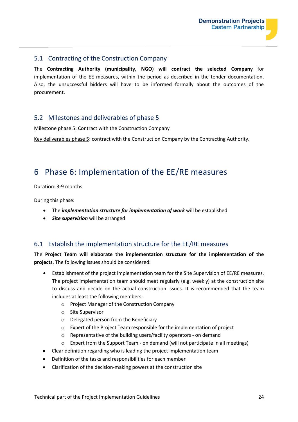#### 5.1 Contracting of the Construction Company

The **Contracting Authority (municipality, NGO) will contract the selected Company** for implementation of the EE measures, within the period as described in the tender documentation. Also, the unsuccessful bidders will have to be informed formally about the outcomes of the procurement.

#### 5.2 Milestones and deliverables of phase 5

Milestone phase 5: Contract with the Construction Company

Key deliverables phase 5: contract with the Construction Company by the Contracting Authority.

### 6 Phase 6: Implementation of the EE/RE measures

Duration: 3-9 months

During this phase:

- The *implementation structure for implementation of work* will be established
- *Site supervision* will be arranged

#### 6.1 Establish the implementation structure for the EE/RE measures

The **Project Team will elaborate the implementation structure for the implementation of the projects**. The following issues should be considered:

- Establishment of the project implementation team for the Site Supervision of EE/RE measures. The project implementation team should meet regularly (e.g. weekly) at the construction site to discuss and decide on the actual construction issues. It is recommended that the team includes at least the following members:
	- o Project Manager of the Construction Company
	- o Site Supervisor
	- o Delegated person from the Beneficiary
	- o Expert of the Project Team responsible for the implementation of project
	- o Representative of the building users/facility operators on demand
	- $\circ$  Expert from the Support Team on demand (will not participate in all meetings)
- Clear definition regarding who is leading the project implementation team
- Definition of the tasks and responsibilities for each member
- Clarification of the decision-making powers at the construction site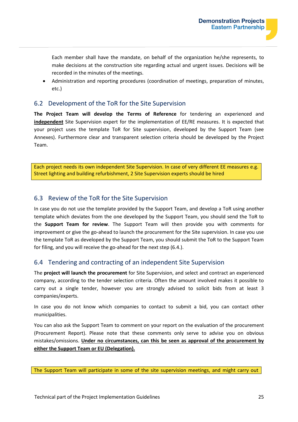Each member shall have the mandate, on behalf of the organization he/she represents, to make decisions at the construction site regarding actual and urgent issues. Decisions will be recorded in the minutes of the meetings.

• Administration and reporting procedures (coordination of meetings, preparation of minutes, etc.)

#### 6.2 Development of the ToR for the Site Supervision

**The Project Team will develop the Terms of Reference** for tendering an experienced and **independent** Site Supervision expert for the implementation of EE/RE measures. It is expected that your project uses the template ToR for Site supervision, developed by the Support Team (see Annexes). Furthermore clear and transparent selection criteria should be developed by the Project Team.

Each project needs its own independent Site Supervision. In case of very different EE measures e.g. Street lighting and building refurbishment, 2 Site Supervision experts should be hired

#### 6.3 Review of the ToR for the Site Supervision

In case you do not use the template provided by the Support Team, and develop a ToR using another template which deviates from the one developed by the Support Team, you should send the ToR to the **Support Team for review**. The Support Team will then provide you with comments for improvement or give the go-ahead to launch the procurement for the Site supervision. In case you use the template ToR as developed by the Support Team, you should submit the ToR to the Support Team for filing, and you will receive the go-ahead for the next step (6.4.).

#### 6.4 Tendering and contracting of an independent Site Supervision

The **project will launch the procurement** for Site Supervision, and select and contract an experienced company, according to the tender selection criteria. Often the amount involved makes it possible to carry out a single tender, however you are strongly advised to solicit bids from at least 3 companies/experts.

In case you do not know which companies to contact to submit a bid, you can contact other municipalities.

You can also ask the Support Team to comment on your report on the evaluation of the procurement (Procurement Report). Please note that these comments only serve to advise you on obvious mistakes/omissions. **Under no circumstances, can this be seen as approval of the procurement by either the Support Team or EU (Delegation).**

The Support Team will participate in some of the site supervision meetings, and might carry out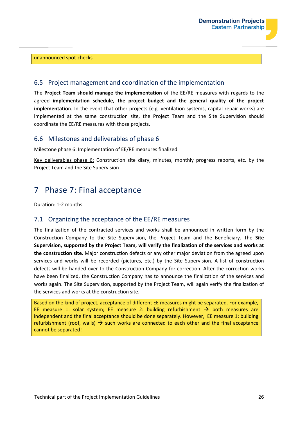

#### unannounced spot-checks.

#### 6.5 Project management and coordination of the implementation

The **Project Team should manage the implementation** of the EE/RE measures with regards to the agreed **implementation schedule, the project budget and the general quality of the project implementatio**n. In the event that other projects (e.g. ventilation systems, capital repair works) are implemented at the same construction site, the Project Team and the Site Supervision should coordinate the EE/RE measures with those projects.

#### 6.6 Milestones and deliverables of phase 6

Milestone phase 6: Implementation of EE/RE measures finalized

Key deliverables phase 6: Construction site diary, minutes, monthly progress reports, etc. by the Project Team and the Site Supervision

## 7 Phase 7: Final acceptance

Duration: 1-2 months

#### 7.1 Organizing the acceptance of the EE/RE measures

The finalization of the contracted services and works shall be announced in written form by the Construction Company to the Site Supervision, the Project Team and the Beneficiary. The **Site Supervision, supported by the Project Team, will verify the finalization of the services and works at the construction site**. Major construction defects or any other major deviation from the agreed upon services and works will be recorded (pictures, etc.) by the Site Supervision. A list of construction defects will be handed over to the Construction Company for correction. After the correction works have been finalized, the Construction Company has to announce the finalization of the services and works again. The Site Supervision, supported by the Project Team, will again verify the finalization of the services and works at the construction site.

Based on the kind of project, acceptance of different EE measures might be separated. For example, EE measure 1: solar system; EE measure 2: building refurbishment  $\rightarrow$  both measures are independent and the final acceptance should be done separately. However, EE measure 1: building refurbishment (roof, walls)  $\rightarrow$  such works are connected to each other and the final acceptance cannot be separated!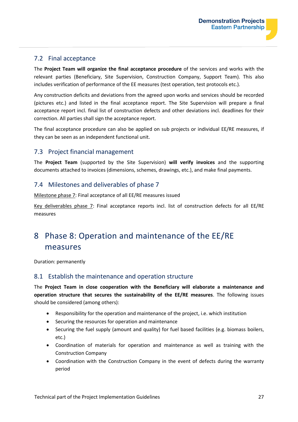#### 7.2 Final acceptance

The **Project Team will organize the final acceptance procedure** of the services and works with the relevant parties (Beneficiary, Site Supervision, Construction Company, Support Team). This also includes verification of performance of the EE measures (test operation, test protocols etc.).

Any construction deficits and deviations from the agreed upon works and services should be recorded (pictures etc.) and listed in the final acceptance report. The Site Supervision will prepare a final acceptance report incl. final list of construction defects and other deviations incl. deadlines for their correction. All parties shall sign the acceptance report.

The final acceptance procedure can also be applied on sub projects or individual EE/RE measures, if they can be seen as an independent functional unit.

#### 7.3 Project financial management

The **Project Team** (supported by the Site Supervision) **will verify invoices** and the supporting documents attached to invoices (dimensions, schemes, drawings, etc.), and make final payments.

#### 7.4 Milestones and deliverables of phase 7

Milestone phase 7: Final acceptance of all EE/RE measures issued

Key deliverables phase 7: Final acceptance reports incl. list of construction defects for all EE/RE measures

## 8 Phase 8: Operation and maintenance of the EE/RE measures

Duration: permanently

#### 8.1 Establish the maintenance and operation structure

The **Project Team in close cooperation with the Beneficiary will elaborate a maintenance and operation structure that secures the sustainability of the EE/RE measures**. The following issues should be considered (among others):

- Responsibility for the operation and maintenance of the project, i.e. which institution
- Securing the resources for operation and maintenance
- Securing the fuel supply (amount and quality) for fuel based facilities (e.g. biomass boilers, etc.)
- Coordination of materials for operation and maintenance as well as training with the Construction Company
- Coordination with the Construction Company in the event of defects during the warranty period